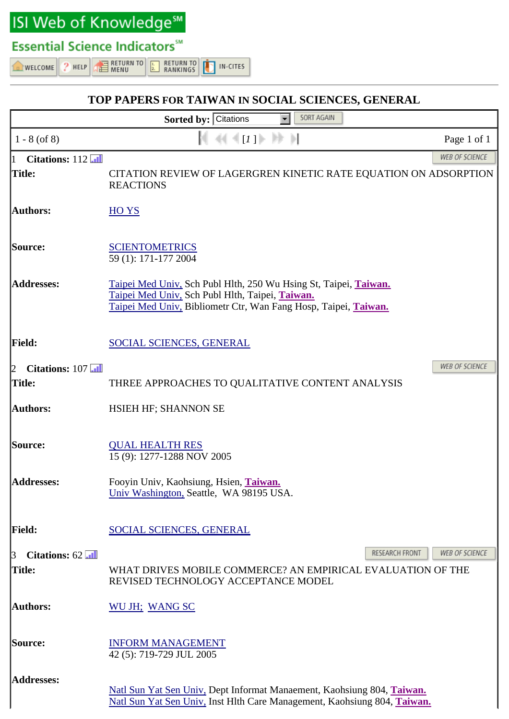**ISI Web of Knowledge<sup>sM</sup>** 

## **Essential Science Indicators™**

 $2$  HELP WELCOME

**RETURN TO RETURN TO EXECUTE**<br>EXPRESS IN-CITES RANKINGS

## SORT AGAIN Sorted by: Citations  $\parallel$  [*I* ]  $\parallel$   $\parallel$   $\parallel$  $1 - 8$  (of 8) 44 Page 1 of 1 **WEB OF SCIENCE** Citations:  $112$  $\mathbf{1}$ Title: CITATION REVIEW OF LAGERGREN KINETIC RATE EOUATION ON ADSORPTION **REACTIONS Authors:** HO YS Source: **SCIENTOMETRICS** 59 (1): 171-177 2004 **Addresses:** Taipei Med Univ, Sch Publ Hlth, 250 Wu Hsing St, Taipei, Taiwan. Taipei Med Univ, Sch Publ Hlth, Taipei, Taiwan. Taipei Med Univ, Bibliometr Ctr, Wan Fang Hosp, Taipei, Taiwan. |Field: SOCIAL SCIENCES, GENERAL WEB OF SCIENCE 2 Citations:  $107$   $\overline{11}$ THREE APPROACHES TO QUALITATIVE CONTENT ANALYSIS Title: Authors: **HSIEH HF: SHANNON SE** Source: **QUAL HEALTH RES** 15 (9): 1277-1288 NOV 2005 **Addresses:** Fooyin Univ, Kaohsiung, Hsien, Taiwan. Univ Washington, Seattle, WA 98195 USA. |Field: SOCIAL SCIENCES, GENERAL RESEARCH FRONT **WEB OF SCIENCE**  $\mathbf{3}$ Citations:  $62$ Title: WHAT DRIVES MOBILE COMMERCE? AN EMPIRICAL EVALUATION OF THE REVISED TECHNOLOGY ACCEPTANCE MODEL Authors: WU JH; WANG SC Source: **INFORM MANAGEMENT** 42 (5): 719-729 JUL 2005 **Addresses:** Natl Sun Yat Sen Univ, Dept Informat Manaement, Kaohsiung 804, Taiwan.

Natl Sun Yat Sen Univ, Inst Hlth Care Management, Kaohsiung 804, Taiwan.

TOP PAPERS FOR TAIWAN IN SOCIAL SCIENCES, GENERAL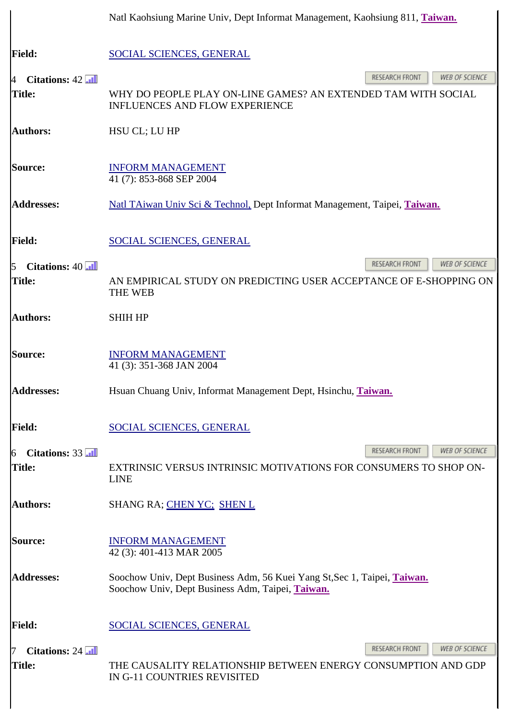|                                                           | Natl Kaohsiung Marine Univ, Dept Informat Management, Kaohsiung 811, Taiwan.                                                 |  |  |
|-----------------------------------------------------------|------------------------------------------------------------------------------------------------------------------------------|--|--|
| <b>Field:</b>                                             | <b>SOCIAL SCIENCES, GENERAL</b>                                                                                              |  |  |
|                                                           | RESEARCH FRONT<br>WEB OF SCIENCE                                                                                             |  |  |
| Citations: $42$ $\overline{11}$<br><sup>4</sup><br>Title: | WHY DO PEOPLE PLAY ON-LINE GAMES? AN EXTENDED TAM WITH SOCIAL<br><b>INFLUENCES AND FLOW EXPERIENCE</b>                       |  |  |
| <b>Authors:</b>                                           | HSU CL; LU HP                                                                                                                |  |  |
| Source:                                                   | <b>INFORM MANAGEMENT</b><br>41 (7): 853-868 SEP 2004                                                                         |  |  |
| <b>Addresses:</b>                                         | Natl TAiwan Univ Sci & Technol, Dept Informat Management, Taipei, Taiwan.                                                    |  |  |
| <b>Field:</b>                                             | <b>SOCIAL SCIENCES, GENERAL</b>                                                                                              |  |  |
| Citations: $40$<br>$\overline{5}$                         | RESEARCH FRONT<br>WEB OF SCIENCE                                                                                             |  |  |
| Title:                                                    | AN EMPIRICAL STUDY ON PREDICTING USER ACCEPTANCE OF E-SHOPPING ON<br><b>THE WEB</b>                                          |  |  |
| Authors:                                                  | <b>SHIH HP</b>                                                                                                               |  |  |
| Source:                                                   | <b>INFORM MANAGEMENT</b><br>41 (3): 351-368 JAN 2004                                                                         |  |  |
| <b>Addresses:</b>                                         | Hsuan Chuang Univ, Informat Management Dept, Hsinchu, Taiwan.                                                                |  |  |
| <b>Field:</b>                                             | <b>SOCIAL SCIENCES, GENERAL</b>                                                                                              |  |  |
| Citations: 33<br>16                                       | RESEARCH FRONT<br>WEB OF SCIENCE                                                                                             |  |  |
| <b>Title:</b>                                             | EXTRINSIC VERSUS INTRINSIC MOTIVATIONS FOR CONSUMERS TO SHOP ON-<br><b>LINE</b>                                              |  |  |
| <b>Authors:</b>                                           | SHANG RA; CHEN YC; SHEN L                                                                                                    |  |  |
| Source:                                                   | <b>INFORM MANAGEMENT</b><br>42 (3): 401-413 MAR 2005                                                                         |  |  |
| <b>Addresses:</b>                                         | Soochow Univ, Dept Business Adm, 56 Kuei Yang St, Sec 1, Taipei, Taiwan.<br>Soochow Univ, Dept Business Adm, Taipei, Taiwan. |  |  |
| <b>Field:</b>                                             | <b>SOCIAL SCIENCES, GENERAL</b>                                                                                              |  |  |
| Citations: 24 <b>All</b>                                  | RESEARCH FRONT<br><b>WEB OF SCIENCE</b>                                                                                      |  |  |
| Title:                                                    | THE CAUSALITY RELATIONSHIP BETWEEN ENERGY CONSUMPTION AND GDP<br>IN G-11 COUNTRIES REVISITED                                 |  |  |